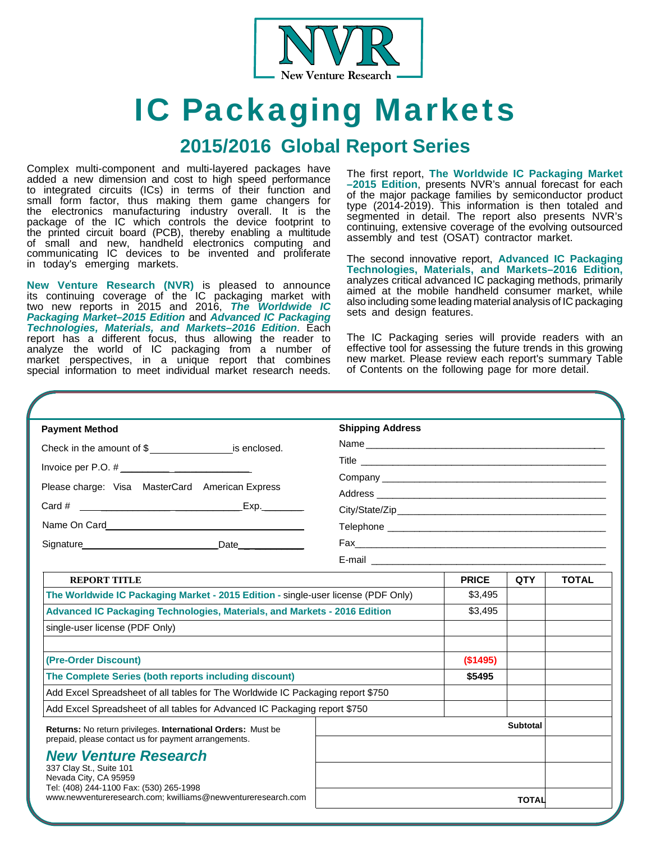

# IC Packaging Markets

### **2015/2016 Global Report Series**

Complex multi-component and multi-layered packages have added a new dimension and cost to high speed performance to integrated circuits (ICs) in terms of their function and small form factor, thus making them game changers for the electronics manufacturing industry overall. It is the package of the IC which controls the device footprint to the printed circuit board (PCB), thereby enabling a multitude of small and new, handheld electronics computing and communicating IC devices to be invented and proliferate in today's emerging markets.

**New Venture Research (NVR)** is pleased to announce its continuing coverage of the IC packaging market with two new reports in 2015 and 2016, *The Worldwide IC Packaging Market–2015 Edition* and *Advanced IC Packaging Technologies, Materials, and Markets–2016 Edition*. Each report has a different focus, thus allowing the reader to analyze the world of IC packaging from a number of market perspectives, in a unique report that combines special information to meet individual market research needs.

The first report, **The Worldwide IC Packaging Market –2015 Edition**, presents NVR's annual forecast for each of the major package families by semiconductor product type (2014-2019). This information is then totaled and segmented in detail. The report also presents NVR's continuing, extensive coverage of the evolving outsourced assembly and test (OSAT) contractor market.

The second innovative report, **Advanced IC Packaging Technologies, Materials, and Markets–2016 Edition,**  analyzes critical advanced IC packaging methods, primarily aimed at the mobile handheld consumer market, while also including some leading material analysis of IC packaging sets and design features.

The IC Packaging series will provide readers with an effective tool for assessing the future trends in this growing new market. Please review each report's summary Table of Contents on the following page for more detail.

| <b>Payment Method</b>                                                                                                | <b>Shipping Address</b>                                                                                                                                                                                                       |                 |              |              |
|----------------------------------------------------------------------------------------------------------------------|-------------------------------------------------------------------------------------------------------------------------------------------------------------------------------------------------------------------------------|-----------------|--------------|--------------|
| Check in the amount of $\frac{1}{2}$ is enclosed.                                                                    |                                                                                                                                                                                                                               |                 |              |              |
|                                                                                                                      |                                                                                                                                                                                                                               |                 |              |              |
| Please charge: Visa MasterCard American Express                                                                      | Company experience and the company of the company of the company of the company of the company of the company of the company of the company of the company of the company of the company of the company of the company of the |                 |              |              |
|                                                                                                                      |                                                                                                                                                                                                                               |                 |              |              |
| Card # $\frac{1}{2}$ Exp.                                                                                            |                                                                                                                                                                                                                               |                 |              |              |
|                                                                                                                      |                                                                                                                                                                                                                               |                 |              |              |
| Signature Date Date                                                                                                  |                                                                                                                                                                                                                               |                 |              |              |
|                                                                                                                      |                                                                                                                                                                                                                               |                 |              |              |
| <b>REPORT TITLE</b>                                                                                                  |                                                                                                                                                                                                                               | <b>PRICE</b>    | <b>QTY</b>   | <b>TOTAL</b> |
| The Worldwide IC Packaging Market - 2015 Edition - single-user license (PDF Only)                                    |                                                                                                                                                                                                                               | \$3,495         |              |              |
| Advanced IC Packaging Technologies, Materials, and Markets - 2016 Edition                                            |                                                                                                                                                                                                                               | \$3,495         |              |              |
| single-user license (PDF Only)                                                                                       |                                                                                                                                                                                                                               |                 |              |              |
| (Pre-Order Discount)                                                                                                 |                                                                                                                                                                                                                               | (\$1495)        |              |              |
| The Complete Series (both reports including discount)                                                                |                                                                                                                                                                                                                               | \$5495          |              |              |
| Add Excel Spreadsheet of all tables for The Worldwide IC Packaging report \$750                                      |                                                                                                                                                                                                                               |                 |              |              |
| Add Excel Spreadsheet of all tables for Advanced IC Packaging report \$750                                           |                                                                                                                                                                                                                               |                 |              |              |
| Returns: No return privileges. International Orders: Must be<br>prepaid, please contact us for payment arrangements. |                                                                                                                                                                                                                               | <b>Subtotal</b> |              |              |
| <b>New Venture Research</b>                                                                                          |                                                                                                                                                                                                                               |                 |              |              |
| 337 Clay St., Suite 101                                                                                              |                                                                                                                                                                                                                               |                 |              |              |
| Nevada City, CA 95959<br>Tel: (408) 244-1100 Fax: (530) 265-1998                                                     |                                                                                                                                                                                                                               |                 |              |              |
| www.newventureresearch.com; kwilliams@newventureresearch.com                                                         |                                                                                                                                                                                                                               |                 | <b>TOTAL</b> |              |